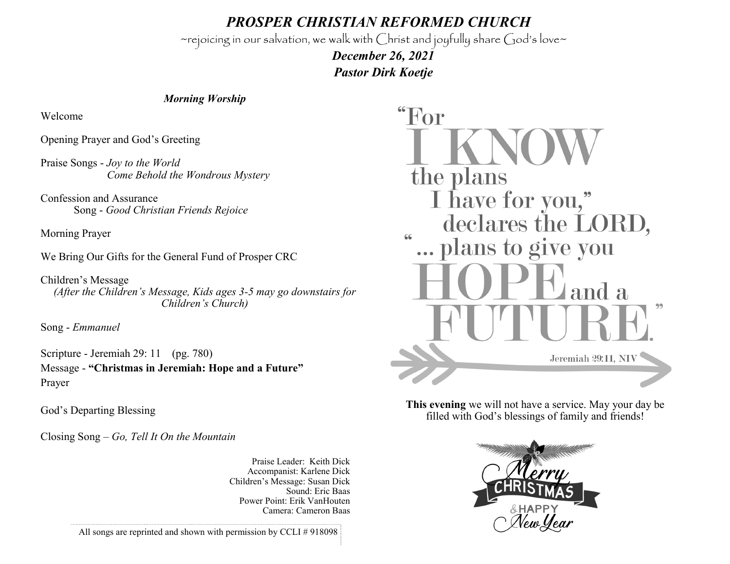*PROSPER CHRISTIAN REFORMED CHURCH*

~rejoicing in our salvation, we walk with Christ and joyfully share God's love~

 *December 26, 2021 Pastor Dirk Koetje* 

## *Morning Worship*

Welcome

Opening Prayer and God's Greeting

Praise Songs - *Joy to the World Come Behold the Wondrous Mystery*

Confession and Assurance Song - *Good Christian Friends Rejoice*

Morning Prayer

We Bring Our Gifts for the General Fund of Prosper CRC

Children's Message *(After the Children's Message, Kids ages 3-5 may go downstairs for Children's Church)*

Song - *Emmanuel*

Scripture - Jeremiah 29: 11 (pg. 780) Message - **"Christmas in Jeremiah: Hope and a Future"** Prayer

God's Departing Blessing

Closing Song – *Go, Tell It On the Mountain*

Praise Leader: Keith Dick Accompanist: Karlene Dick Children's Message: Susan Dick Sound: Eric Baas Power Point: Erik VanHouten Camera: Cameron Baas



**This evening** we will not have a service. May your day be filled with God's blessings of family and friends!